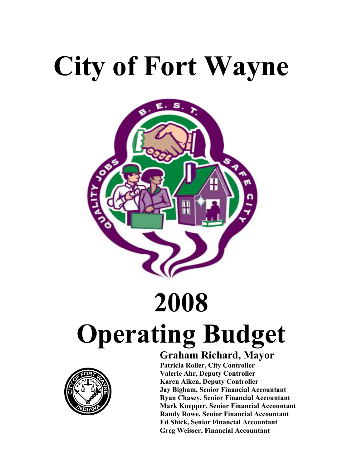# City of Fort Wayne



# 2008 Operating Budget



### Graham Richard, Mayor

 Patricia Roller, City Controller Valerie Ahr, Deputy Controller Karen Aiken, Deputy Controller Jay Bigham, Senior Financial Accountant Ryan Chasey, Senior Financial Accountant Mark Knepper, Senior Financial Accountant Randy Rowe, Senior Financial Accountant Ed Shick, Senior Financial Accountant Greg Weisser, Financial Accountant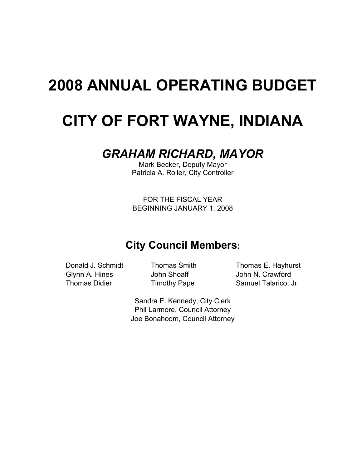## 2008 ANNUAL OPERATING BUDGET

## CITY OF FORT WAYNE, INDIANA

### GRAHAM RICHARD, MAYOR

Mark Becker, Deputy Mayor Patricia A. Roller, City Controller

FOR THE FISCAL YEAR BEGINNING JANUARY 1, 2008

### City Council Members:

Glynn A. Hines **John Shoaff** John N. Crawford

Donald J. Schmidt Thomas Smith Thomas E. Hayhurst Thomas Didier Timothy Pape Samuel Talarico, Jr.

> Sandra E. Kennedy, City Clerk Phil Larmore, Council Attorney Joe Bonahoom, Council Attorney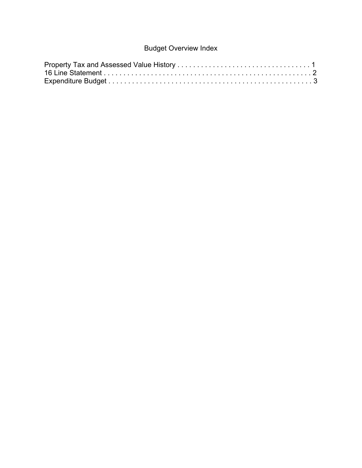#### Budget Overview Index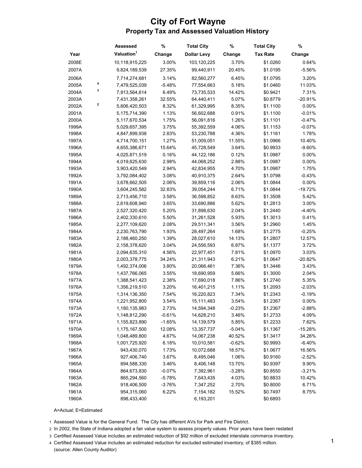#### City of Fort Wayne Property Tax and Assessed Valuation History

|       |   | Assessed               | %        | <b>Total City</b>  | %        | <b>Total City</b> | %         |
|-------|---|------------------------|----------|--------------------|----------|-------------------|-----------|
| Year  |   | Valuation <sup>1</sup> | Change   | <b>Dollar Levy</b> | Change   | <b>Tax Rate</b>   | Change    |
| 2008E |   | 10,118,915,225         | 3.00%    | 103,120,225        | 3.70%    | \$1.0260          | 0.64%     |
| 2007A |   | 9,824,189,539          | 27.35%   | 99,440,911         | 20.45%   | \$1.0195          | $-5.56%$  |
| 2006A |   | 7,714,274,681          | 3.14%    | 82,560,277         | 6.45%    | \$1.0795          | 3.20%     |
| 2005A | 4 | 7,479,525,039          | $-5.48%$ | 77,554,663         | 5.18%    | \$1.0460          | 11.03%    |
| 2004A | 3 | 7,913,564,614          | 6.49%    | 73,735,533         | 14.42%   | \$0.9421          | 7.31%     |
| 2003A |   | 7,431,358,261          | 32.55%   | 64,440,411         | 5.07%    | \$0.8779          | $-20.91%$ |
| 2002A | 2 | 5,606,420,503          | 8.32%    | 61,329,995         | 8.35%    | \$1.1100          | 0.00%     |
| 2001A |   | 5,175,714,390          | 1.13%    | 56,602,688         | 0.91%    | \$1.1100          | $-0.01%$  |
| 2000A |   | 5,117,670,534          | 1.75%    | 56,091,816         | 1.26%    | \$1.1101          | $-0.47%$  |
| 1999A |   | 5,029,657,395          | 3.75%    | 55,392,559         | 4.06%    | \$1.1153          | $-0.07%$  |
| 1998A |   | 4,847,899,938          | 2.83%    | 53,230,788         | 4.36%    | \$1.1161          | 1.78%     |
| 1997A |   | 4,714,700,151          | 1.27%    | 51,009,051         | 11.55%   | \$1.0966          | 10.40%    |
| 1996A |   | 4,655,386,671          | 15.64%   | 45,728,549         | 3.64%    | \$0.9933          | $-9.60%$  |
| 1995A |   | 4,025,871,519          | 0.16%    | 44,122,186         | 0.12%    | \$1.0987          | 0.00%     |
| 1994A |   | 4,019,625,630          | 2.98%    | 44,068,252         | 2.88%    | \$1.0987          | 0.00%     |
| 1993A |   | 3,903,420,549          | 2.94%    | 42,834,955         | 4.70%    | \$1.0987          | 1.75%     |
| 1992A |   | 3,792,084,402          | 3.08%    | 40,910,375         | 2.64%    | \$1.0798          | $-0.43%$  |
| 1991A |   | 3,678,662,505          | 2.06%    | 39,859,116         | 2.06%    | \$1.0844          | 0.00%     |
| 1990A |   | 3,604,245,582          | 32.83%   | 39,054,244         | 6.71%    | \$1.0844          | $-19.72%$ |
| 1989A |   | 2,713,456,710          | 3.58%    | 36,598,852         | 8.63%    | \$1.3508          | 5.42%     |
| 1988A |   | 2,619,608,940          | 3.65%    | 33,690,886         | 5.62%    | \$1.2813          | 3.00%     |
| 1987A |   | 2,527,320,420          | 5.20%    | 31,898,630         | 2.04%    | \$1.2440          | $-4.40%$  |
| 1986A |   | 2,402,330,610          | 5.50%    | 31,261,528         | 5.93%    | \$1.3013          | 0.41%     |
| 1985A |   | 2,277,109,620          | 2.08%    | 29,511,341         | 3.56%    | \$1.2960          | 1.45%     |
| 1984A |   | 2,230,763,790          | 1.93%    | 28,497,264         | 1.68%    | \$1.2775          | $-0.25%$  |
| 1983A |   | 2,188,460,250          | 1.39%    | 28,027,610         | 14.13%   | \$1.2807          | 12.57%    |
| 1982A |   | 2,158,378,620          | 3.04%    | 24,556,593         | 6.87%    | \$1.1377          | 3.72%     |
| 1981A |   | 2,094,635,310          | 4.56%    | 22,977,451         | 7.81%    | \$1.0970          | 3.03%     |
| 1980A |   | 2,003,378,775          | 34.24%   | 21,311,943         | 6.21%    | \$1.0647          | $-20.82%$ |
| 1979A |   | 1,492,374,006          | 3.80%    | 20,066,461         | 7.36%    | \$1.3446          | 3.43%     |
| 1978A |   | 1,437,766,065          | 3.55%    | 18,690,959         | 5.66%    | \$1.3000          | 2.04%     |
| 1977A |   | 1,388,541,423          | 2.38%    | 17,690,018         | 7.86%    | \$1.2740          | 5.35%     |
| 1976A |   | 1,356,219,510          | 3.20%    | 16,401,215         | 1.11%    | \$1.2093          | $-2.03%$  |
| 1975A |   | 1,314,136,350          | 7.54%    | 16,220,823         | 7.34%    | \$1.2343          | $-0.19%$  |
| 1974A |   | 1,221,952,800          | 3.54%    | 15,111,483         | 3.54%    | \$1.2367          | 0.00%     |
| 1973A |   | 1,180,135,983          | 2.73%    | 14,594,348         | $-0.23%$ | \$1.2367          | $-2.88%$  |
| 1972A |   | 1,148,812,290          | $-0.61%$ | 14,628,210         | 3.46%    | \$1.2733          | 4.09%     |
| 1971A |   | 1,155,823,890          | $-1.65%$ | 14,139,579         | 5.85%    | \$1.2233          | 7.62%     |
| 1970A |   | 1,175,167,500          | 12.08%   | 13,357,737         | $-5.04%$ | \$1.1367          | $-15.28%$ |
| 1969A |   | 1,048,489,800          | 4.67%    | 14,067,238         | 40.52%   | \$1.3417          | 34.26%    |
| 1968A |   | 1,001,725,920          | 6.18%    | 10,010,581         | $-0.62%$ | \$0.9993          | $-6.40%$  |
| 1967A |   | 943,430,070            | 1.73%    | 10,072,688         | 18.57%   | \$1.0677          | 16.56%    |
| 1966A |   | 927,406,740            | 3.67%    | 8,495,046          | 1.06%    | \$0.9160          | $-2.52%$  |
| 1965A |   | 894,588,330            | 3.46%    | 8,406,148          | 13.70%   | \$0.9397          | 9.90%     |
| 1964A |   | 864,673,830            | $-0.07%$ | 7,392,961          | $-3.28%$ | \$0.8550          | $-3.21%$  |
| 1963A |   | 865,294,560            | $-5.78%$ | 7,643,435          | 4.03%    | \$0.8833          | 10.42%    |
| 1962A |   | 918,406,500            | $-3.76%$ | 7,347,252          | 2.70%    | \$0.8000          | 6.71%     |
| 1961A |   | 954,315,060            | 6.22%    | 7,154,182          | 15.52%   | \$0.7497          | 8.75%     |
| 1960A |   | 898,433,400            |          | 6,193,201          |          | \$0.6893          |           |

A=Actual; E=Estimated

1 Assessed Value is for the General Fund. The City has different AVs for Park and Fire District.

2 In 2002, the State of Indiana adopted a fair value system to assess property values. Prior years have been restated

3 Certified Assessed Value includes an estimated reduction of \$92 million of excluded interstate commerce inventory.

4 Certified Assessed Value includes an estimated reduction for excluded estimated inventory, of \$385 million. (source: Allen County Auditor)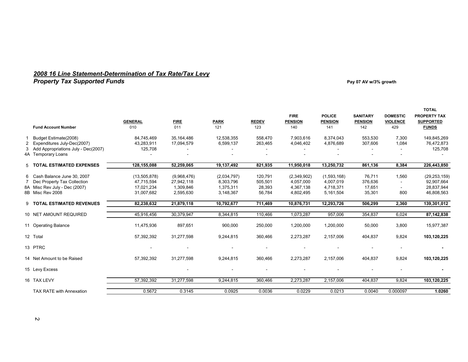## 2008 16 Line Statement-Determination of Tax Rate/Tax Levy<br>Property Tax Supported Funds that are the state of the state of the state of the state of the Pay 07 AV w/3% growth

|                                                               |                            |                           |                          |                     | <b>FIRE</b>              | <b>POLICE</b>            | <b>SANITARY</b>       | <b>DOMESTIC</b>        | <b>TOTAL</b><br><b>PROPERTY TAX</b> |
|---------------------------------------------------------------|----------------------------|---------------------------|--------------------------|---------------------|--------------------------|--------------------------|-----------------------|------------------------|-------------------------------------|
| <b>Fund Account Number</b>                                    | <b>GENERAL</b><br>010      | <b>FIRE</b><br>011        | <b>PARK</b><br>121       | <b>REDEV</b><br>123 | <b>PENSION</b><br>140    | <b>PENSION</b><br>141    | <b>PENSION</b><br>142 | <b>VIOLENCE</b><br>429 | <b>SUPPORTED</b><br><b>FUNDS</b>    |
|                                                               |                            |                           |                          |                     |                          |                          |                       |                        |                                     |
| Budget Estimate(2008)                                         | 84.745.469                 | 35.164.486                | 12,538,355               | 558,470             | 7,903,616                | 8,374,043                | 553,530               | 7,300                  | 149,845,269                         |
| 2 Expenditures July-Dec(2007)                                 | 43,283,911                 | 17,094,579                | 6,599,137                | 263,465             | 4,046,402                | 4,876,689                | 307,606               | 1,084                  | 76,472,873                          |
| 3 Add Appropriations July - Dec(2007)                         | 125,708                    |                           |                          |                     |                          |                          |                       |                        | 125,708                             |
| 4A Temporary Loans                                            |                            |                           |                          |                     |                          |                          |                       |                        |                                     |
| 5 TOTAL ESTIMATED EXPENSES                                    | 128,155,088                | 52,259,065                | 19,137,492               | 821,935             | 11,950,018               | 13,250,732               | 861,136               | 8,384                  | 226,443,850                         |
|                                                               |                            |                           |                          |                     |                          |                          |                       |                        |                                     |
| 6 Cash Balance June 30, 2007<br>7 Dec Property Tax Collection | (13,505,878)<br>47,715,594 | (9,968,476)<br>27,942,118 | (2,034,797)<br>8,303,796 | 120,791<br>505,501  | (2,349,902)<br>4,057,000 | (1,593,168)<br>4,007,019 | 76,711<br>376,636     | 1,560                  | (29, 253, 159)<br>92,907,664        |
| 8A Misc Rev July - Dec (2007)                                 | 17,021,234                 | 1,309,846                 | 1,375,311                | 28,393              | 4,367,138                | 4,718,371                | 17,651                |                        | 28,837,944                          |
| 8B Misc Rev 2008                                              | 31,007,682                 | 2,595,630                 | 3,148,367                | 56,784              | 4,802,495                | 5,161,504                | 35,301                | 800                    | 46,808,563                          |
|                                                               |                            |                           |                          |                     |                          |                          |                       |                        |                                     |
| 9 TOTAL ESTIMATED REVENUES                                    | 82,238,632                 | 21,879,118                | 10,792,677               | 711,469             | 10,876,731               | 12,293,726               | 506,299               | 2,360                  | 139,301,012                         |
| 10 NET AMOUNT REQUIRED                                        | 45,916,456                 | 30,379,947                | 8,344,815                | 110,466             | 1,073,287                | 957.006                  | 354,837               | 6.024                  | 87,142,838                          |
|                                                               |                            |                           |                          |                     |                          |                          |                       |                        |                                     |
| 11 Operating Balance                                          | 11,475,936                 | 897.651                   | 900,000                  | 250,000             | 1,200,000                | 1,200,000                | 50,000                | 3,800                  | 15,977,387                          |
| 12 Total                                                      | 57,392,392                 | 31,277,598                | 9,244,815                | 360,466             | 2,273,287                | 2,157,006                | 404,837               | 9,824                  | 103,120,225                         |
|                                                               |                            |                           |                          |                     |                          |                          |                       |                        |                                     |
| 13 PTRC                                                       |                            |                           |                          |                     |                          |                          |                       |                        |                                     |
| 14 Net Amount to be Raised                                    | 57,392,392                 | 31,277,598                | 9,244,815                | 360,466             | 2,273,287                | 2,157,006                | 404,837               | 9,824                  | 103,120,225                         |
|                                                               |                            |                           |                          |                     |                          |                          |                       |                        |                                     |
| 15 Levy Excess                                                |                            |                           |                          |                     |                          |                          |                       |                        |                                     |
| 16 TAX LEVY                                                   | 57,392,392                 | 31,277,598                | 9,244,815                | 360,466             | 2,273,287                | 2,157,006                | 404.837               | 9.824                  | 103,120,225                         |
|                                                               |                            |                           |                          |                     |                          |                          |                       |                        |                                     |
| <b>TAX RATE with Annexation</b>                               | 0.5672                     | 0.3145                    | 0.0925                   | 0.0036              | 0.0229                   | 0.0213                   | 0.0040                | 0.000097               | 1.0260                              |